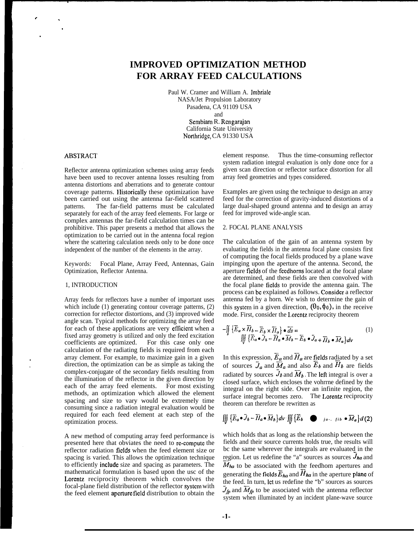# **IMPROVED OPTIMIZATION METHOD FOR ARRAY FEED CALCULATIONS**

Paul W. Cramer and William A. Jmbriale NASA/Jet Propulsion Laboratory Pasadena, CA 91109 USA and Sernbiam R. Rengarajan

California State University Northridgc, CA 91330 USA

## ABSTRACT

Reflector antenna optimization schemes using array feeds have been used to recover antenna losses resulting from antenna distortions and aberrations and to generate contour coverage patterns. IIistorically these optimization have been carried out using the antenna far-field scattered patterns. The far-field patterns must be calculated separately for each of the array feed elements. For large or complex antennas the far-field calculation times can be prohibitive. This paper presents a method that allows the optimization to be carried out in the antenna focal region where the scattering calculation needs only to be done once independent of the number of the elements in the array.

Keywords: Focal Plane, Array Feed, Antennas, Gain Optimization, Reflector Antenna.

#### 1, INTRODUCTION

Array feeds for reflectors have a number of important uses which include (1) generating contour coverage patterns, (2) correction for reflector distortions, and (3) improved wide angle scan. Typical methods for optimizing the array feed for each of these applications are very efficient when a fixed array geometry is utilized and only the feed excitation coefficients are optimized. For this case only one calculation of the radiating fields is required from each array clement. For example, to maximize gain in a given direction, the optimization can be as simple as taking the complex-conjugate of the secondary fields resulting from the illumination of the reflector in the given direction by each of the array feed elements. For most existing methods, an optimization which allowed the element spacing and size to vary would be extremely time consuming since a radiation integral evaluation would be required for each feed element at each step of the optimization process.

A new method of computing array feed performance is presented here that obviates the need to re-compute the reflector radiation fields when the feed element size or spacing is varied. This allows the optimization technique to efficiently **include** size and spacing as parameters. The mathematical formulation is based upon the usc of the Lorentz reciprocity theorem which convolves the focal-plane field distribution of the reflector systcm with the feed element aperture field distribution to obtain the element response. Thus the time-consuming reflector system radiation integral evaluation is only done once for a given scan direction or reflector surface distortion for all array feed geometries and types considered.

Examples are given using the technique to design an array feed for the correction of gravity-induced distortions of a large dual-shaped ground antenna and to design an array feed for improved wide-angle scan.

## 2. FOCAL PLANE ANALYSIS

The calculation of the gain of an antenna system by evaluating the fields in the antenna focal plane consists first of computing the focal fields produced by a plane wave impinging upon the aperture of the antenna. Second, the aperture fields of the fecdhorns located at the focal plane are determined, and these fields are then convolved with the focal plane fields to provide the antenna gain. The process can be explained as follows. Consider a reflector antenna fed by a horn. We wish to determine the gain of this system in a given direction,  $(\theta_0, \phi_0)$ , in the receive mode. First, consider the Lorentz reciprocity theorem

$$
-\iint_{s} \left\{ \overline{E}_{a} \times \overline{H}_{b} - \overline{E}_{b} \times \overline{H}_{a} \right\} \bullet \overline{ds} =
$$
\n
$$
\iiint_{s} \left\{ \overline{E}_{a} \bullet \overline{J}_{b} - \overline{H}_{a} \bullet \overline{M}_{b} - \overline{E}_{b} \bullet \overline{J}_{a} + \overline{H}_{b} \bullet \overline{M}_{a} \right\} d\nu
$$
\n(1)

In this expression,  $\vec{E}_a$  and  $\vec{H}_a$  are fields radiated by a set of sources  $\bar{J}_a$  and  $\bar{M}_a$  and also  $\bar{E}_b$  and  $\bar{H}_b$  are fields radiated by sources  $J_b$  and  $\widetilde{M}_b$ . The left integral is over a closed surface, which encloses the vohrrne defined by the integral on the right side. Over an infinite region, the surface integral becomes zero. The Lorentz reciprocity theorem can therefore be rewritten as

$$
\iiint\limits_{V} \left\{ \overline{E}_a \bullet \overline{J}_b - \overline{H}_a \bullet \overline{M}_b \right\} d\nu \cdot \iiint\limits_{V} \left\{ \overline{E}_b \quad \bullet \quad j_a \ldots j_{ib} \bullet \overline{M}_a \right\} d\left( 2 \right)
$$

which holds that as long as the relationship between the fields and their source currents holds true, the results will bc the same wherever the integrals are evaluated in the region. Let us redefine the "a" sources as sources  $J_{ha}$  and  $M_{ha}$  to be associated with the feedhom apertures and generating the fields  $\overline{E}_{ha}$  and  $H_{ha}$  in the aperture plane of the feed. In turn, Ict us redefine the "b" sources as sources  $J_{fp}$  and  $\widetilde{M}_{fp}$  to be associated with the antenna reflector system when illuminated by an incident plane-wave source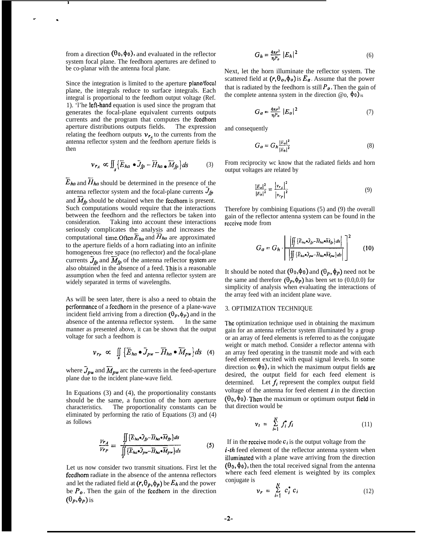from a direction  $(\theta_0, \phi_0)$ , and evaluated in the reflector system focal plane. The feedhorn apertures are defined to be co-planar with the antenna focal plane.

I

 $\sim$  .

Since the integration is limited to the aperture plane/focal plane, the integrals reduce to surface integrals. Each integral is proportional to the feedhom output voltage (Ref. 1). 'l'he lefl-hand equation is used since the program that generates the focal-plane equivalent currents outputs currents and the program that computes the feedhorn<br>aperture distributions outputs fields. The expression aperture distributions outputs fields. relating the feedhorn outputs  $v_{r_4}$  to the currents from the antenna reflector system and the feedhorn aperture fields is then

$$
\nu_{r_A} \propto \iint_S \left\{ \overline{E}_{ha} \bullet \overline{J}_{fp} - \overline{H}_{ha} \bullet \overline{M}_{fp} \right\} ds \tag{3}
$$

 $\overline{E}_{ha}$  and  $\overline{H}_{ha}$  should be determined in the presence of the antenna reflector system and the focal-plane currents  $J_{fp}$ and  $\overline{M}_{fp}$  should be obtained when the feedhorn is present. Such computations would require that the interactions between the feedhorn and the reflectors be taken into consideration. Taking into account these interactions seriously complicates the analysis and increases the computational time. Often  $\overline{E}_{ha}$  and  $\overline{H}_{ha}$  are approximated to the aperture fields of a horn radiating into an infinite homogeneous free space (no reflector) and the focal-plane currents  $J_{fp}$  and  $\overline{M}_{fp}$  of the antenna reflector system are also obtained in the absence of a feed. This is a reasonable assumption when the feed and antenna reflector system are widely separated in terms of wavelengths.

As will be seen later, there is also a need to obtain the pcrforrnancc of a fecdhorn in the presence of a plane-wave incident field arriving from a direction  $(\theta_p, \phi_p)$  and in the absence of the antenna reflector system. In the same manner as presented above, it can be shown that the output voltage for such a feedhom is

$$
\nu_{r_P} \propto \iint\limits_{s} \left\{ \overline{E}_{ha} \bullet \overline{J}_{pw} - \overline{H}_{ha} \bullet \overline{M}_{pw} \right\} ds \quad (4)
$$

where  $\bar{J}_{\rho w}$  and  $\bar{M}_{\rho w}$  arc the currents in the feed-aperture plane due to the incident plane-wave field.

In Equations (3) and (4), the proportionality constants should be the same, a function of the horn aperture characteristics. The proportionality constants can be eliminated by performing the ratio of Equations (3) and (4) as follows

$$
\frac{V_{r_A}}{V_{r_P}} = \frac{\iint\limits_{S} \{ \overline{E}_{ha} \bullet \overline{J}_{fp} - \overline{H}_{ha} \bullet \overline{M}_{fp} \} ds}{\iint\limits_{S} \{ \overline{E}_{ha} \bullet \overline{J}_{pw} - \overline{H}_{ha} \bullet \overline{M}_{pw} \} ds}
$$
(5)

Let us now consider two transmit situations. First let the feedhorn radiate in the absence of the antenna reflectors and let the radiated field at  $(r, \theta_p, \phi_p)$  be  $E_h$  and the power be  $P_o$ . Then the gain of the feedhorn in the direction  $(\theta_p, \phi_p)$  is

$$
G_h = \frac{4\pi r^2}{\eta P_o} |E_h|^2 \tag{6}
$$

Next, let the horn illuminate the reflector system. The scattered field at  $(r, \theta_o, \phi_o)$  is  $E_a$ . Assume that the power that is radiated by the feedhorn is still  $P_{\rho}$ . Then the gain of the complete antenna system in the direction  $@o, \phi_0$ ) is

$$
G_a = \frac{4\pi r^2}{\eta P_o} \left| E_a \right|^2 \tag{7}
$$

and consequently

$$
G_a = G_h \frac{|E_a|^2}{|E_h|^2}
$$
 (8)

From reciprocity wc know that the radiated fields and horn output voltages are related by

$$
\frac{|E_a|^2}{|E_b|^2} = \frac{|v_{r_a}|^2}{|v_{r_p}|^2}
$$
\n(9)

Therefore by combining Equations (5) and (9) the overall gain of the reflector antenna system can be found in the rcccive mode from

$$
G_a = G_h \cdot \left[ \frac{\left| \iint\limits_{\mathcal{J}} {\{\overline{E}_{ha} \bullet \overline{J}_{fp} - \overline{H}_{ha} \bullet \overline{M}_{fp}\} ds} \right|}{\left| \iint\limits_{\mathcal{J}} {\{\overline{E}_{ha} \bullet \overline{J}_{pw} - \overline{H}_{ha} \bullet \overline{M}_{pw}\} ds} \right|} \right]^2 \qquad (10)
$$

It should be noted that  $(\theta_0, \phi_0)$  and  $(\theta_p, \phi_p)$  need not be the same and therefore  $(\theta_p, \phi_p)$  has been set to (0.0,0.0) for simplicity of analysis when evaluating the interactions of the array feed with an incident plane wave.

#### 3. OPTIMIZATION TECHNIQUE

The optimization technique used in obtaining the maximum gain for an antenna reflector system illuminated by a group or an array of feed elements is referred to as the conjugate weight or match method. Consider a reflector antenna with an array feed operating in the transmit mode and with each feed element excited with equal signal levels. In some direction  $(0, 0, \phi_0)$ , in which the maximum output fields are desired, the output field for each feed element is determined. Let  $f_i$  represent the complex output field voltage of the antenna for feed element  $i$  in the direction  $(\theta_0, \phi_0)$ . Then the maximum or optimum output field in that direction would be

$$
\nu_t = \sum_{i=1}^N f_i f_i \tag{11}
$$

If in the receive mode  $c_i$  is the output voltage from the *i-th* feed element of the reflector antenna system when illuminated with a plane wave arriving from the direction  $(\theta_0, \phi_0)$ , then the total received signal from the antenna where each feed element is weighted by its complex conjugate is

$$
v_r = \sum_{i=1}^{N} c_i^* c_i \tag{12}
$$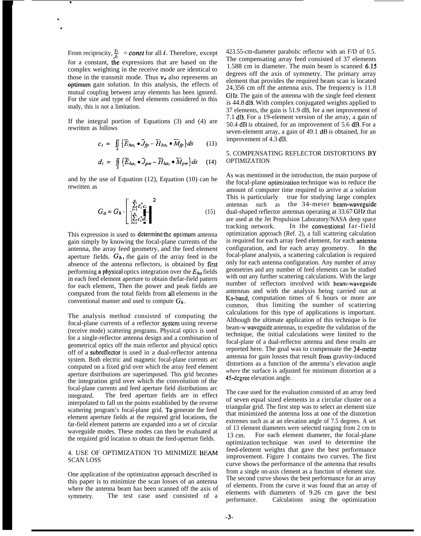From reciprocity,  $\frac{c_i}{f_i}$  = const for all i. Therefore, except for a constant, the expressions that are based on the complex weighting in the receive mode are identical to those in the transmit mode. Thus  $v_r$  also represents an optimum gain solution. In this analysis, the effects of mutual coupling between array elements has been ignored. For the size and type of feed elements considered in this study, this is not a limitation.

.

. ,

> If the integral portion of Equations (3) and (4) are rewritten as follows

$$
c_i = \iint\limits_{S} \left\{ \overrightarrow{E}_{ha_i} \bullet \overrightarrow{J}_{fp} - \overrightarrow{H}_{ha_i} \bullet \overrightarrow{M}_{fp} \right\} ds \qquad (13)
$$

$$
d_i = \iint\limits_{S} \left\{ \overline{E}_{ha_i} \bullet \overline{J}_{pw} - \overline{H}_{ha_i} \bullet \overline{M}_{pw} \right\} ds \quad (14)
$$

and by the use of Equation (12), Equation (10) can be rewritten as

$$
G_a = G_h \cdot \left[\begin{array}{c} \sum\limits_{i=1}^N \varepsilon_i^* c_i \\ \sum\limits_{i=1}^N c_i^* d_i \end{array}\right]^2 \tag{15}
$$

This expression is used to determine the optimum antenna gain simply by knowing the focal-plane currents of the antenna, the array feed geometry, and the feed element aperture fields.  $G_h$ , the gain of the array feed in the absence of the antenna reflectors, is obtained by first performing a physical optics integration over the  $E_{ha}$  fields in each feed element aperture to obtain thefar-field pattern for each element, Then the power and peak fields are computed from the total fields from all elements in the conventional manner and used to compute  $G_h$ .

The analysis method consisted of computing the focal-plane currents of a reflector systcm using reverse (receive mode) scattering programs. Physical optics is used for a single-reflector antenna design and a combination of geometrical optics off the main reflector and physical optics off of a subreflector is used in a dual-reflector antenna system. Both electric and magnetic focal-plane currents arc computed on a fixed grid over which the array feed element aperture distributions are superimposed. This grid becomes the integration grid over which the convolution of the focal-plane currents and feed aperture field distributions arc integrated. The feed aperture fields are in effect interpolated to fall on the points established by the reverse scattering program's focal-plane grid. To generate the feed element aperture fields at the required grid locations, the far-field element patterns are expanded into a set of circular waveguide modes. These modes can then be evaluated at the required grid location to obtain the feed-aperture fields.

## 4. USE OF OPTIMIZATION TO MINIMIZE BEAM SCAN LOSS

One application of the optimization approach described in this paper is to minimize the scan losses of an antenna where the antenna beam has been scanned off the axis of symmetry. The test case used consisted of a

423.55-cm-diameter parabolic reflector with an F/D of 0.5. The compensating array feed consisted of 37 elements 1.588 cm in diameter. The main beam is scanned 6.15 degrees off the axis of symmetry. The primary array element that provides the required beam scan is located 24,356 cm off the antenna axis. The frequency is 11.8 GHz. The gain of the antenna with the single feed element is 44.8 dB. With complex conjugated weights applied to 37 elements, the gain is 51.9 dB, for a net improvement of 7.1 dB. For a 19-element version of the array, a gain of 50.4 dB is obtained, for an improvement of 5.6 dB. For a seven-element array, a gain of 49.1 dB is obtained, for an improvement of 4.3 dB.

## 5. COMPENSATING REFLECTOR DISTORTIONS BY OPTIMIZATION

As was mentioned in the introduction, the main purpose of the focal-plane optimization technique was to reduce the amount of computer time required to arrive at a solution This is particularly true for studying large complex antennas such as the 34-meter beam-waveguide dual-shaped reflector antennas operating at 33.67 GHz that are used at the Jet Propulsion Laboratory/NASA deep space tracking network. In the conventional far-field optimization approach (Ref. 2), a full scattering calculation is required for each array feed element, for each antenna configuration, and for each array geometry. In the focal-plane analysis, a scattering calculation is required only for each antenna configuration. Any number of array geometries and any number of feed elements can be studied with out any further scattering calculations. With the large number of reflectors involved with beam-wavcguide antennas and with the analysis being carried out at Ka-band, computation times of 6 hours or more are common, thus limiting the number of scattering calculations for this type of applications is important. Although the ultimate application of this technique is for beam-w avcguide antennas, to expedite the validation of the technique, the initial calculations were limited to the focal-plane of a dual-reflector antenna and these results are reported here. The goal was to compensate the 34-meter antenna for gain losses that result from gravity-induced distortions as a function of the antenna's elevation angle *where* the surface is adjusted for minimum distortion at a 45-dcgrcc elevation angle.

The case used for the evaluation consisted of an array feed of seven equal sized elements in a circular cluster on a triangular grid. The first step was to select an element size that minimized the antenna loss at one of the distortion extremes such as at an elevation angle of 7.5 degrees. A set of 13 element diameters were selected ranging from 2 cm to 13 cm. For each element diameter, the focal-plane optimization technique was used to determine the feed-element weights that gave the best performance improvement. Figure 1 contains two curves. The first curve shows the performance of the antenna that results from a single on-axis clement as a function of element size. The second curve shows the best performance for an array of elements. From the curve it was found that an array of elements with diameters of 9.26 cm gave the best performance. Calculations using the optimization